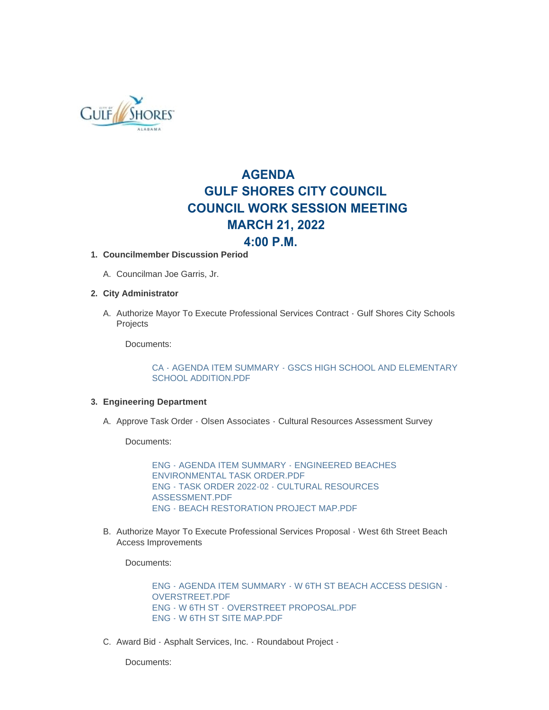

# **AGENDA GULF SHORES CITY COUNCIL COUNCIL WORK SESSION MEETING MARCH 21, 2022**

# **4:00 P.M.**

## **Councilmember Discussion Period 1.**

A. Councilman Joe Garris, Jr.

## **City Administrator 2.**

A. Authorize Mayor To Execute Professional Services Contract - Gulf Shores City Schools **Projects** 

Documents:

[CA - AGENDA ITEM SUMMARY - GSCS HIGH SCHOOL AND ELEMENTARY](https://www.gulfshoresal.gov/AgendaCenter/ViewFile/Item/9845?fileID=21546)  SCHOOL ADDITION.PDF

#### **Engineering Department 3.**

A. Approve Task Order - Olsen Associates - Cultural Resources Assessment Survey

Documents:

[ENG - AGENDA ITEM SUMMARY - ENGINEERED BEACHES](https://www.gulfshoresal.gov/AgendaCenter/ViewFile/Item/9847?fileID=21551)  ENVIRONMENTAL TASK ORDER.PDF [ENG - TASK ORDER 2022-02 - CULTURAL RESOURCES](https://www.gulfshoresal.gov/AgendaCenter/ViewFile/Item/9847?fileID=21552)  ASSESSMENT.PDF [ENG - BEACH RESTORATION PROJECT MAP.PDF](https://www.gulfshoresal.gov/AgendaCenter/ViewFile/Item/9847?fileID=21553)

B. Authorize Mayor To Execute Professional Services Proposal - West 6th Street Beach Access Improvements

Documents:

[ENG - AGENDA ITEM SUMMARY - W 6TH ST BEACH ACCESS DESIGN -](https://www.gulfshoresal.gov/AgendaCenter/ViewFile/Item/9849?fileID=21556) OVERSTREET.PDF [ENG - W 6TH ST - OVERSTREET PROPOSAL.PDF](https://www.gulfshoresal.gov/AgendaCenter/ViewFile/Item/9849?fileID=21557) [ENG - W 6TH ST SITE MAP.PDF](https://www.gulfshoresal.gov/AgendaCenter/ViewFile/Item/9849?fileID=21558)

C. Award Bid - Asphalt Services, Inc. - Roundabout Project -

Documents: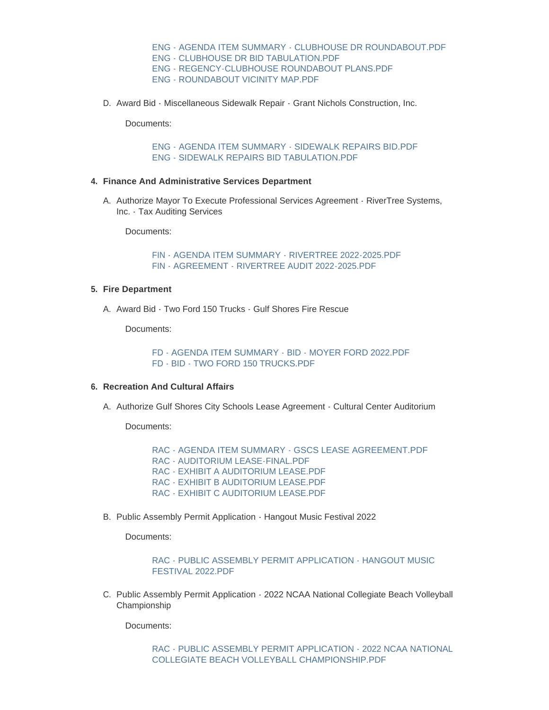[ENG - AGENDA ITEM SUMMARY - CLUBHOUSE DR ROUNDABOUT.PDF](https://www.gulfshoresal.gov/AgendaCenter/ViewFile/Item/9846?fileID=21547) [ENG - CLUBHOUSE DR BID TABULATION.PDF](https://www.gulfshoresal.gov/AgendaCenter/ViewFile/Item/9846?fileID=21548) [ENG - REGENCY-CLUBHOUSE ROUNDABOUT PLANS.PDF](https://www.gulfshoresal.gov/AgendaCenter/ViewFile/Item/9846?fileID=21549) [ENG - ROUNDABOUT VICINITY MAP.PDF](https://www.gulfshoresal.gov/AgendaCenter/ViewFile/Item/9846?fileID=21550)

D. Award Bid - Miscellaneous Sidewalk Repair - Grant Nichols Construction, Inc.

Documents:

[ENG - AGENDA ITEM SUMMARY - SIDEWALK REPAIRS BID.PDF](https://www.gulfshoresal.gov/AgendaCenter/ViewFile/Item/9848?fileID=21554) [ENG - SIDEWALK REPAIRS BID TABULATION.PDF](https://www.gulfshoresal.gov/AgendaCenter/ViewFile/Item/9848?fileID=21555)

#### **Finance And Administrative Services Department 4.**

A. Authorize Mayor To Execute Professional Services Agreement - RiverTree Systems, Inc. - Tax Auditing Services

Documents:

[FIN - AGENDA ITEM SUMMARY - RIVERTREE 2022-2025.PDF](https://www.gulfshoresal.gov/AgendaCenter/ViewFile/Item/9850?fileID=21559) [FIN - AGREEMENT - RIVERTREE AUDIT 2022-2025.PDF](https://www.gulfshoresal.gov/AgendaCenter/ViewFile/Item/9850?fileID=21560)

#### **Fire Department 5.**

A. Award Bid - Two Ford 150 Trucks - Gulf Shores Fire Rescue

Documents:

[FD - AGENDA ITEM SUMMARY - BID - MOYER FORD 2022.PDF](https://www.gulfshoresal.gov/AgendaCenter/ViewFile/Item/9856?fileID=21608) [FD - BID - TWO FORD 150 TRUCKS.PDF](https://www.gulfshoresal.gov/AgendaCenter/ViewFile/Item/9856?fileID=21570)

#### **Recreation And Cultural Affairs 6.**

A. Authorize Gulf Shores City Schools Lease Agreement - Cultural Center Auditorium

Documents:

[RAC - AGENDA ITEM SUMMARY - GSCS LEASE AGREEMENT.PDF](https://www.gulfshoresal.gov/AgendaCenter/ViewFile/Item/9851?fileID=21561) [RAC - AUDITORIUM LEASE-FINAL.PDF](https://www.gulfshoresal.gov/AgendaCenter/ViewFile/Item/9851?fileID=21562) [RAC - EXHIBIT A AUDITORIUM LEASE.PDF](https://www.gulfshoresal.gov/AgendaCenter/ViewFile/Item/9851?fileID=21563) [RAC - EXHIBIT B AUDITORIUM LEASE.PDF](https://www.gulfshoresal.gov/AgendaCenter/ViewFile/Item/9851?fileID=21564) [RAC - EXHIBIT C AUDITORIUM LEASE.PDF](https://www.gulfshoresal.gov/AgendaCenter/ViewFile/Item/9851?fileID=21565)

B. Public Assembly Permit Application - Hangout Music Festival 2022

Documents:

[RAC - PUBLIC ASSEMBLY PERMIT APPLICATION - HANGOUT MUSIC](https://www.gulfshoresal.gov/AgendaCenter/ViewFile/Item/9854?fileID=21568)  FESTIVAL 2022.PDF

C. Public Assembly Permit Application - 2022 NCAA National Collegiate Beach Volleyball Championship

Documents:

[RAC - PUBLIC ASSEMBLY PERMIT APPLICATION - 2022 NCAA NATIONAL](https://www.gulfshoresal.gov/AgendaCenter/ViewFile/Item/9853?fileID=21567)  COLLEGIATE BEACH VOLLEYBALL CHAMPIONSHIP.PDF